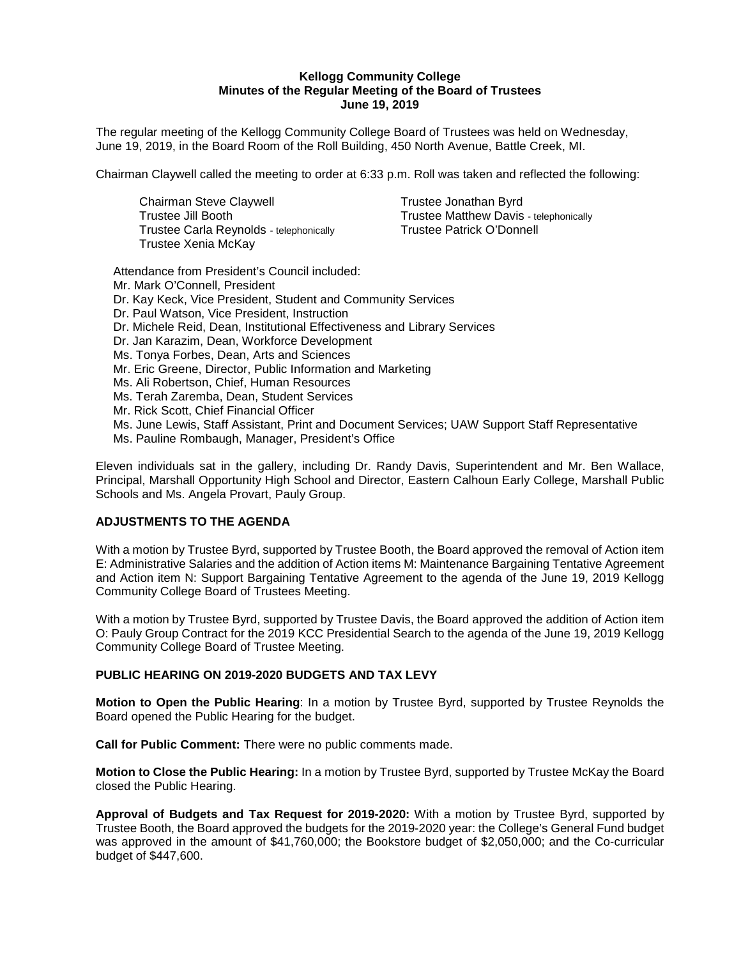#### **Kellogg Community College Minutes of the Regular Meeting of the Board of Trustees June 19, 2019**

The regular meeting of the Kellogg Community College Board of Trustees was held on Wednesday, June 19, 2019, in the Board Room of the Roll Building, 450 North Avenue, Battle Creek, MI.

Chairman Claywell called the meeting to order at 6:33 p.m. Roll was taken and reflected the following:

Chairman Steve Claywell **Trustee Jonathan Byrd** Trustee Carla Reynolds - telephonically Trustee Patrick O'Donnell Trustee Xenia McKay

Trustee Jill Booth Trustee Matthew Davis - telephonically

Attendance from President's Council included: Mr. Mark O'Connell, President Dr. Kay Keck, Vice President, Student and Community Services Dr. Paul Watson, Vice President, Instruction Dr. Michele Reid, Dean, Institutional Effectiveness and Library Services Dr. Jan Karazim, Dean, Workforce Development Ms. Tonya Forbes, Dean, Arts and Sciences Mr. Eric Greene, Director, Public Information and Marketing Ms. Ali Robertson, Chief, Human Resources Ms. Terah Zaremba, Dean, Student Services Mr. Rick Scott, Chief Financial Officer Ms. June Lewis, Staff Assistant, Print and Document Services; UAW Support Staff Representative Ms. Pauline Rombaugh, Manager, President's Office

Eleven individuals sat in the gallery, including Dr. Randy Davis, Superintendent and Mr. Ben Wallace, Principal, Marshall Opportunity High School and Director, Eastern Calhoun Early College, Marshall Public Schools and Ms. Angela Provart, Pauly Group.

### **ADJUSTMENTS TO THE AGENDA**

With a motion by Trustee Byrd, supported by Trustee Booth, the Board approved the removal of Action item E: Administrative Salaries and the addition of Action items M: Maintenance Bargaining Tentative Agreement and Action item N: Support Bargaining Tentative Agreement to the agenda of the June 19, 2019 Kellogg Community College Board of Trustees Meeting.

With a motion by Trustee Byrd, supported by Trustee Davis, the Board approved the addition of Action item O: Pauly Group Contract for the 2019 KCC Presidential Search to the agenda of the June 19, 2019 Kellogg Community College Board of Trustee Meeting.

### **PUBLIC HEARING ON 2019-2020 BUDGETS AND TAX LEVY**

**Motion to Open the Public Hearing**: In a motion by Trustee Byrd, supported by Trustee Reynolds the Board opened the Public Hearing for the budget.

**Call for Public Comment:** There were no public comments made.

**Motion to Close the Public Hearing:** In a motion by Trustee Byrd, supported by Trustee McKay the Board closed the Public Hearing.

**Approval of Budgets and Tax Request for 2019-2020:** With a motion by Trustee Byrd, supported by Trustee Booth, the Board approved the budgets for the 2019-2020 year: the College's General Fund budget was approved in the amount of \$41,760,000; the Bookstore budget of \$2,050,000; and the Co-curricular budget of \$447,600.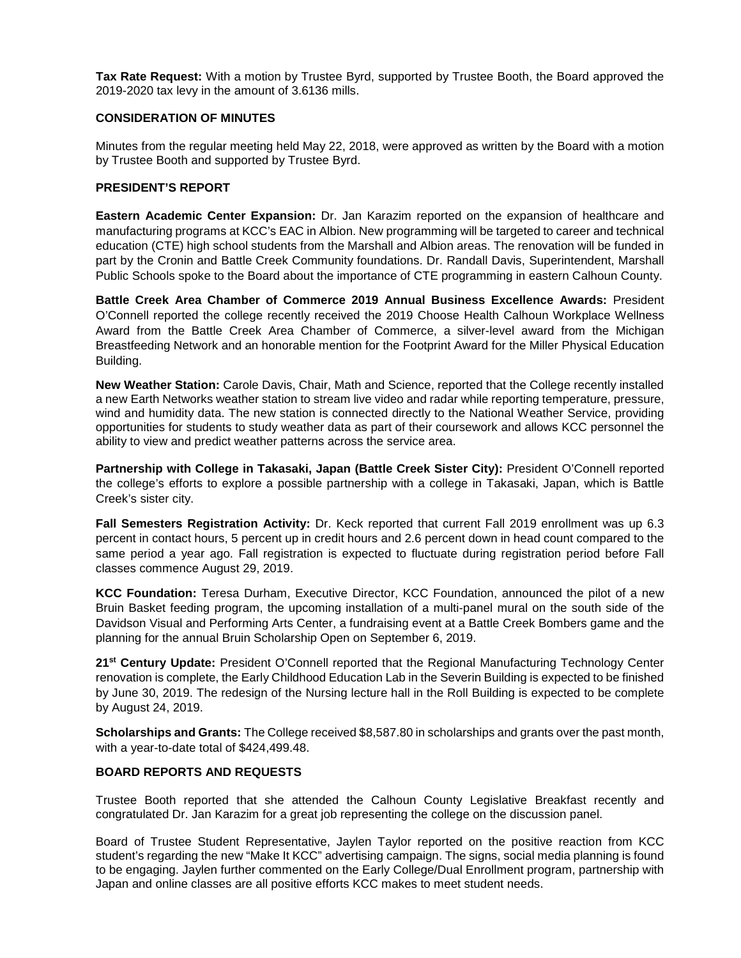**Tax Rate Request:** With a motion by Trustee Byrd, supported by Trustee Booth, the Board approved the 2019-2020 tax levy in the amount of 3.6136 mills.

### **CONSIDERATION OF MINUTES**

Minutes from the regular meeting held May 22, 2018, were approved as written by the Board with a motion by Trustee Booth and supported by Trustee Byrd.

# **PRESIDENT'S REPORT**

**Eastern Academic Center Expansion:** Dr. Jan Karazim reported on the expansion of healthcare and manufacturing programs at KCC's EAC in Albion. New programming will be targeted to career and technical education (CTE) high school students from the Marshall and Albion areas. The renovation will be funded in part by the Cronin and Battle Creek Community foundations. Dr. Randall Davis, Superintendent, Marshall Public Schools spoke to the Board about the importance of CTE programming in eastern Calhoun County.

**Battle Creek Area Chamber of Commerce 2019 Annual Business Excellence Awards:** President O'Connell reported the college recently received the 2019 Choose Health Calhoun Workplace Wellness Award from the Battle Creek Area Chamber of Commerce, a silver-level award from the Michigan Breastfeeding Network and an honorable mention for the Footprint Award for the Miller Physical Education Building.

**New Weather Station:** Carole Davis, Chair, Math and Science, reported that the College recently installed a new Earth Networks weather station to stream live video and radar while reporting temperature, pressure, wind and humidity data. The new station is connected directly to the National Weather Service, providing opportunities for students to study weather data as part of their coursework and allows KCC personnel the ability to view and predict weather patterns across the service area.

**Partnership with College in Takasaki, Japan (Battle Creek Sister City):** President O'Connell reported the college's efforts to explore a possible partnership with a college in Takasaki, Japan, which is Battle Creek's sister city.

**Fall Semesters Registration Activity:** Dr. Keck reported that current Fall 2019 enrollment was up 6.3 percent in contact hours, 5 percent up in credit hours and 2.6 percent down in head count compared to the same period a year ago. Fall registration is expected to fluctuate during registration period before Fall classes commence August 29, 2019.

**KCC Foundation:** Teresa Durham, Executive Director, KCC Foundation, announced the pilot of a new Bruin Basket feeding program, the upcoming installation of a multi-panel mural on the south side of the Davidson Visual and Performing Arts Center, a fundraising event at a Battle Creek Bombers game and the planning for the annual Bruin Scholarship Open on September 6, 2019.

**21st Century Update:** President O'Connell reported that the Regional Manufacturing Technology Center renovation is complete, the Early Childhood Education Lab in the Severin Building is expected to be finished by June 30, 2019. The redesign of the Nursing lecture hall in the Roll Building is expected to be complete by August 24, 2019.

**Scholarships and Grants:** The College received \$8,587.80 in scholarships and grants over the past month, with a year-to-date total of \$424,499.48.

# **BOARD REPORTS AND REQUESTS**

Trustee Booth reported that she attended the Calhoun County Legislative Breakfast recently and congratulated Dr. Jan Karazim for a great job representing the college on the discussion panel.

Board of Trustee Student Representative, Jaylen Taylor reported on the positive reaction from KCC student's regarding the new "Make It KCC" advertising campaign. The signs, social media planning is found to be engaging. Jaylen further commented on the Early College/Dual Enrollment program, partnership with Japan and online classes are all positive efforts KCC makes to meet student needs.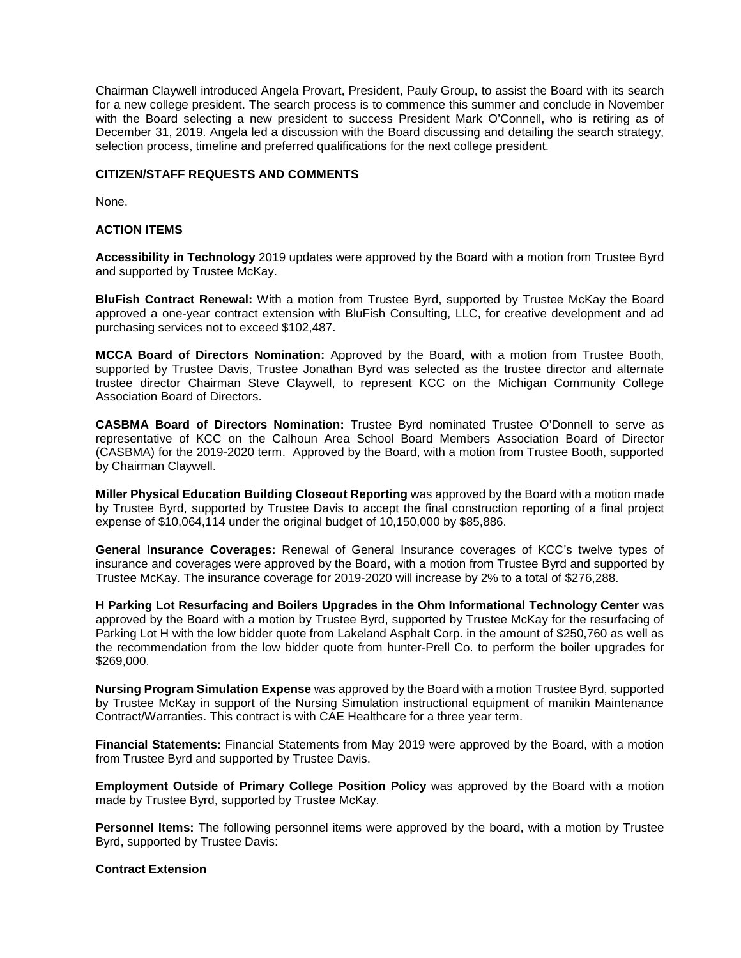Chairman Claywell introduced Angela Provart, President, Pauly Group, to assist the Board with its search for a new college president. The search process is to commence this summer and conclude in November with the Board selecting a new president to success President Mark O'Connell, who is retiring as of December 31, 2019. Angela led a discussion with the Board discussing and detailing the search strategy, selection process, timeline and preferred qualifications for the next college president.

#### **CITIZEN/STAFF REQUESTS AND COMMENTS**

None.

#### **ACTION ITEMS**

**Accessibility in Technology** 2019 updates were approved by the Board with a motion from Trustee Byrd and supported by Trustee McKay.

**BluFish Contract Renewal:** With a motion from Trustee Byrd, supported by Trustee McKay the Board approved a one-year contract extension with BluFish Consulting, LLC, for creative development and ad purchasing services not to exceed \$102,487.

**MCCA Board of Directors Nomination:** Approved by the Board, with a motion from Trustee Booth, supported by Trustee Davis, Trustee Jonathan Byrd was selected as the trustee director and alternate trustee director Chairman Steve Claywell, to represent KCC on the Michigan Community College Association Board of Directors.

**CASBMA Board of Directors Nomination:** Trustee Byrd nominated Trustee O'Donnell to serve as representative of KCC on the Calhoun Area School Board Members Association Board of Director (CASBMA) for the 2019-2020 term. Approved by the Board, with a motion from Trustee Booth, supported by Chairman Claywell.

**Miller Physical Education Building Closeout Reporting** was approved by the Board with a motion made by Trustee Byrd, supported by Trustee Davis to accept the final construction reporting of a final project expense of \$10,064,114 under the original budget of 10,150,000 by \$85,886.

**General Insurance Coverages:** Renewal of General Insurance coverages of KCC's twelve types of insurance and coverages were approved by the Board, with a motion from Trustee Byrd and supported by Trustee McKay. The insurance coverage for 2019-2020 will increase by 2% to a total of \$276,288.

**H Parking Lot Resurfacing and Boilers Upgrades in the Ohm Informational Technology Center** was approved by the Board with a motion by Trustee Byrd, supported by Trustee McKay for the resurfacing of Parking Lot H with the low bidder quote from Lakeland Asphalt Corp. in the amount of \$250,760 as well as the recommendation from the low bidder quote from hunter-Prell Co. to perform the boiler upgrades for \$269,000.

**Nursing Program Simulation Expense** was approved by the Board with a motion Trustee Byrd, supported by Trustee McKay in support of the Nursing Simulation instructional equipment of manikin Maintenance Contract/Warranties. This contract is with CAE Healthcare for a three year term.

**Financial Statements:** Financial Statements from May 2019 were approved by the Board, with a motion from Trustee Byrd and supported by Trustee Davis.

**Employment Outside of Primary College Position Policy** was approved by the Board with a motion made by Trustee Byrd, supported by Trustee McKay.

**Personnel Items:** The following personnel items were approved by the board, with a motion by Trustee Byrd, supported by Trustee Davis:

#### **Contract Extension**